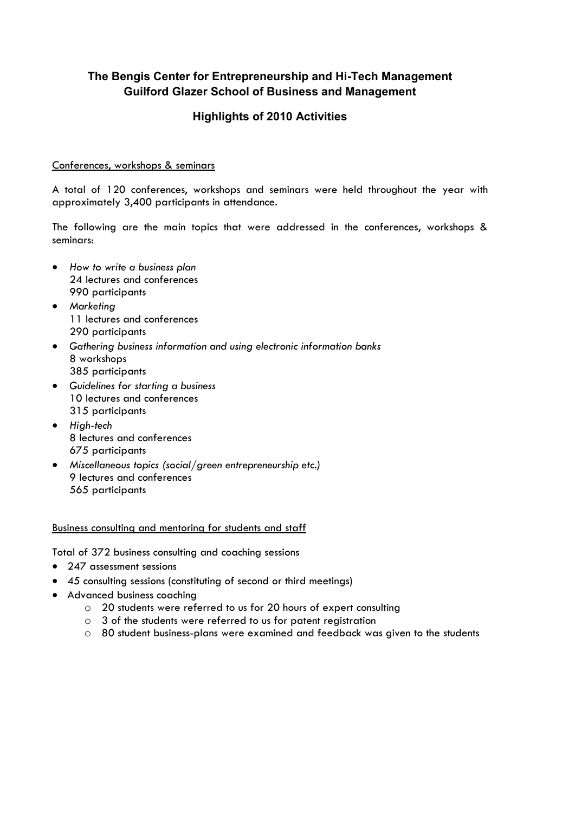# **The Bengis Center for Entrepreneurship and Hi-Tech Management Guilford Glazer School of Business and Management**

## **Highlights of 2010 Activities**

#### Conferences, workshops & seminars

A total of 120 conferences, workshops and seminars were held throughout the year with approximately 3,400 participants in attendance.

The following are the main topics that were addressed in the conferences, workshops & seminars:

- *How to write a business plan*  24 lectures and conferences 990 participants
- *Marketing*  11 lectures and conferences 290 participants
- *Gathering business information and using electronic information banks* 8 workshops 385 participants
- *Guidelines for starting a business*  10 lectures and conferences 315 participants
- *High-tech* 8 lectures and conferences 675 participants
- *Miscellaneous topics (social/green entrepreneurship etc.)*  9 lectures and conferences 565 participants

Business consulting and mentoring for students and staff

Total of 372 business consulting and coaching sessions

- 247 assessment sessions
- 45 consulting sessions (constituting of second or third meetings)
- Advanced business coaching
	- o 20 students were referred to us for 20 hours of expert consulting
	- o 3 of the students were referred to us for patent registration
	- o 80 student business-plans were examined and feedback was given to the students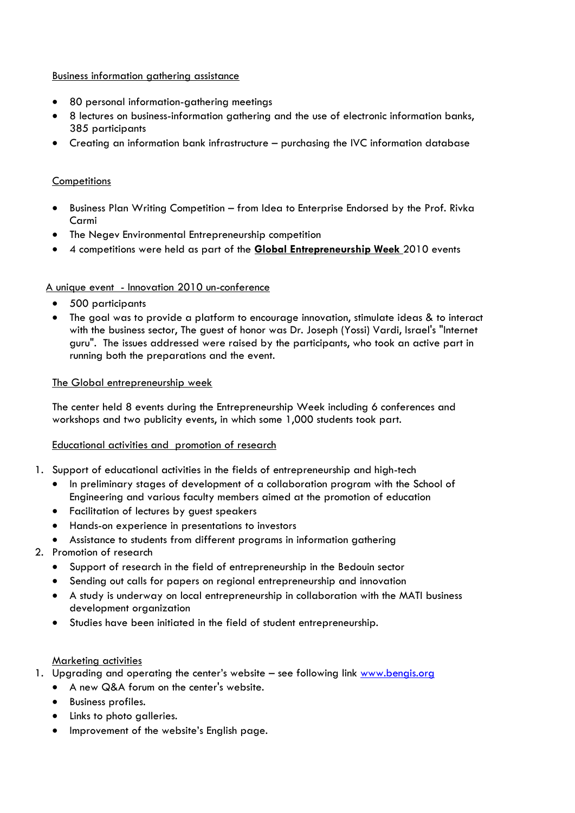#### Business information gathering assistance

- 80 personal information-gathering meetings
- 8 lectures on business-information gathering and the use of electronic information banks, 385 participants
- Creating an information bank infrastructure purchasing the IVC information database

### **Competitions**

- Business Plan Writing Competition from Idea to Enterprise Endorsed by the Prof. Rivka Carmi
- The Negev Environmental Entrepreneurship competition
- 4 competitions were held as part of the **Global Entrepreneurship Week** 2010 events

### A unique event - Innovation 2010 un-conference

- 500 participants
- The goal was to provide a platform to encourage innovation, stimulate ideas & to interact with the business sector, The guest of honor was Dr. Joseph (Yossi) Vardi, Israel's "Internet guru". The issues addressed were raised by the participants, who took an active part in running both the preparations and the event.

### The Global entrepreneurship week

The center held 8 events during the Entrepreneurship Week including 6 conferences and workshops and two publicity events, in which some 1,000 students took part.

### Educational activities and promotion of research

- 1. Support of educational activities in the fields of entrepreneurship and high-tech
	- In preliminary stages of development of a collaboration program with the School of Engineering and various faculty members aimed at the promotion of education
	- Facilitation of lectures by guest speakers
	- Hands-on experience in presentations to investors
	- Assistance to students from different programs in information gathering
- 2. Promotion of research
	- Support of research in the field of entrepreneurship in the Bedouin sector
	- Sending out calls for papers on regional entrepreneurship and innovation
	- A study is underway on local entrepreneurship in collaboration with the MATI business development organization
	- Studies have been initiated in the field of student entrepreneurship.

### Marketing activities

- 1. Upgrading and operating the center's website see following link [www.bengis.org](http://www.bengis.org/)
	- A new Q&A forum on the center's website.
	- Business profiles.
	- Links to photo galleries.
	- Improvement of the website's English page.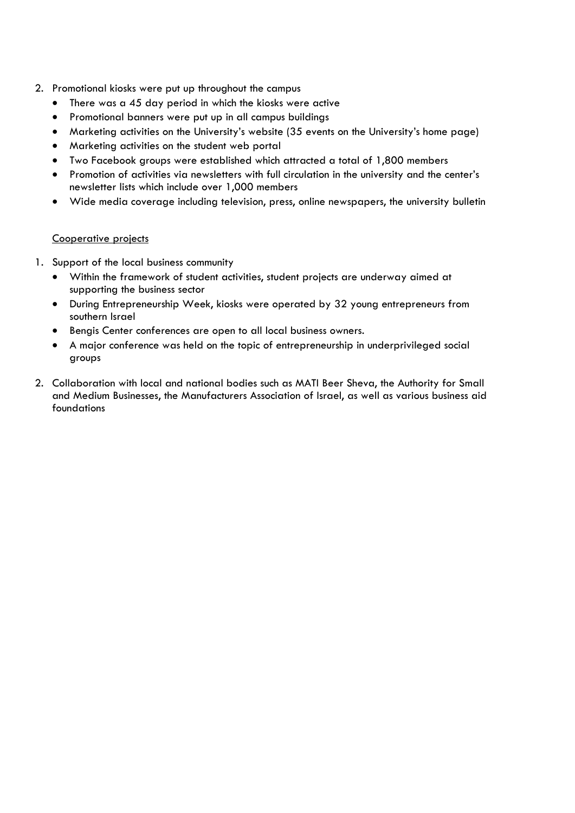- 2. Promotional kiosks were put up throughout the campus
	- There was a 45 day period in which the kiosks were active
	- Promotional banners were put up in all campus buildings
	- Marketing activities on the University's website (35 events on the University's home page)
	- Marketing activities on the student web portal
	- Two Facebook groups were established which attracted a total of 1,800 members
	- Promotion of activities via newsletters with full circulation in the university and the center's newsletter lists which include over 1,000 members
	- Wide media coverage including television, press, online newspapers, the university bulletin

### Cooperative projects

- 1. Support of the local business community
	- Within the framework of student activities, student projects are underway aimed at supporting the business sector
	- During Entrepreneurship Week, kiosks were operated by 32 young entrepreneurs from southern Israel
	- Bengis Center conferences are open to all local business owners.
	- A major conference was held on the topic of entrepreneurship in underprivileged social groups
- 2. Collaboration with local and national bodies such as MATI Beer Sheva, the Authority for Small and Medium Businesses, the Manufacturers Association of Israel, as well as various business aid foundations